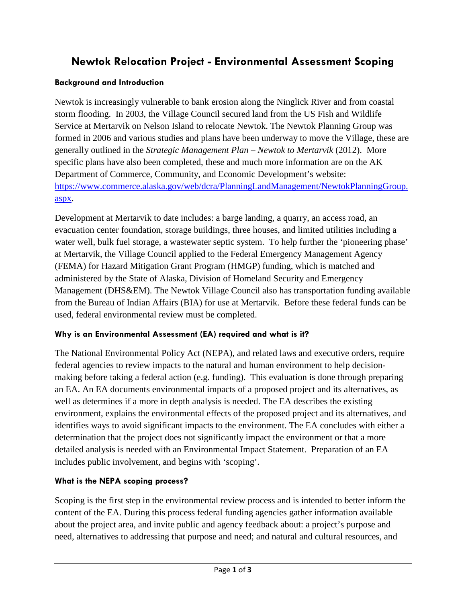# **Newtok Relocation Project - Environmental Assessment Scoping**

#### **Background and Introduction**

Newtok is increasingly vulnerable to bank erosion along the Ninglick River and from coastal storm flooding. In 2003, the Village Council secured land from the US Fish and Wildlife Service at Mertarvik on Nelson Island to relocate Newtok. The Newtok Planning Group was formed in 2006 and various studies and plans have been underway to move the Village, these are generally outlined in the *Strategic Management Plan – Newtok to Mertarvik* (2012). More specific plans have also been completed, these and much more information are on the AK Department of Commerce, Community, and Economic Development's website: [https://www.commerce.alaska.gov/web/dcra/PlanningLandManagement/NewtokPlanningGroup.](https://www.commerce.alaska.gov/web/dcra/PlanningLandManagement/NewtokPlanningGroup.aspx) [aspx.](https://www.commerce.alaska.gov/web/dcra/PlanningLandManagement/NewtokPlanningGroup.aspx)

Development at Mertarvik to date includes: a barge landing, a quarry, an access road, an evacuation center foundation, storage buildings, three houses, and limited utilities including a water well, bulk fuel storage, a wastewater septic system. To help further the 'pioneering phase' at Mertarvik, the Village Council applied to the Federal Emergency Management Agency (FEMA) for Hazard Mitigation Grant Program (HMGP) funding, which is matched and administered by the State of Alaska, Division of Homeland Security and Emergency Management (DHS&EM). The Newtok Village Council also has transportation funding available from the Bureau of Indian Affairs (BIA) for use at Mertarvik. Before these federal funds can be used, federal environmental review must be completed.

# **Why is an Environmental Assessment (EA) required and what is it?**

The National Environmental Policy Act (NEPA), and related laws and executive orders, require federal agencies to review impacts to the natural and human environment to help decisionmaking before taking a federal action (e.g. funding). This evaluation is done through preparing an EA. An EA documents environmental impacts of a proposed project and its alternatives, as well as determines if a more in depth analysis is needed. The EA describes the existing environment, explains the environmental effects of the proposed project and its alternatives, and identifies ways to avoid significant impacts to the environment. The EA concludes with either a determination that the project does not significantly impact the environment or that a more detailed analysis is needed with an Environmental Impact Statement. Preparation of an EA includes public involvement, and begins with 'scoping'.

# **What is the NEPA scoping process?**

Scoping is the first step in the environmental review process and is intended to better inform the content of the EA. During this process federal funding agencies gather information available about the project area, and invite public and agency feedback about: a project's purpose and need, alternatives to addressing that purpose and need; and natural and cultural resources, and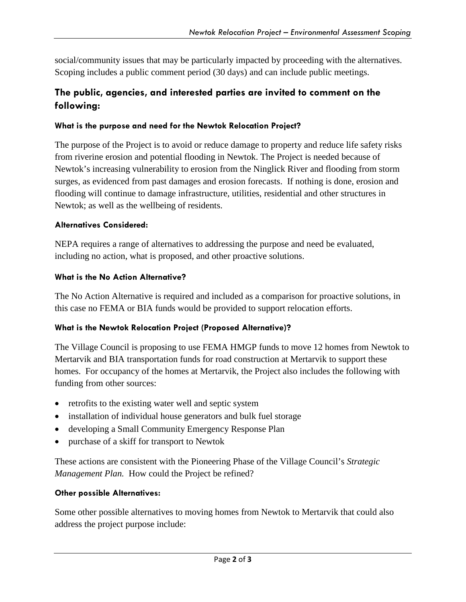social/community issues that may be particularly impacted by proceeding with the alternatives. Scoping includes a public comment period (30 days) and can include public meetings.

# **The public, agencies, and interested parties are invited to comment on the following:**

#### **What is the purpose and need for the Newtok Relocation Project?**

The purpose of the Project is to avoid or reduce damage to property and reduce life safety risks from riverine erosion and potential flooding in Newtok. The Project is needed because of Newtok's increasing vulnerability to erosion from the Ninglick River and flooding from storm surges, as evidenced from past damages and erosion forecasts. If nothing is done, erosion and flooding will continue to damage infrastructure, utilities, residential and other structures in Newtok; as well as the wellbeing of residents.

# **Alternatives Considered:**

NEPA requires a range of alternatives to addressing the purpose and need be evaluated, including no action, what is proposed, and other proactive solutions.

#### **What is the No Action Alternative?**

The No Action Alternative is required and included as a comparison for proactive solutions, in this case no FEMA or BIA funds would be provided to support relocation efforts.

# **What is the Newtok Relocation Project (Proposed Alternative)?**

The Village Council is proposing to use FEMA HMGP funds to move 12 homes from Newtok to Mertarvik and BIA transportation funds for road construction at Mertarvik to support these homes. For occupancy of the homes at Mertarvik, the Project also includes the following with funding from other sources:

- retrofits to the existing water well and septic system
- installation of individual house generators and bulk fuel storage
- developing a Small Community Emergency Response Plan
- purchase of a skiff for transport to Newtok

These actions are consistent with the Pioneering Phase of the Village Council's *Strategic Management Plan.* How could the Project be refined?

# **Other possible Alternatives:**

Some other possible alternatives to moving homes from Newtok to Mertarvik that could also address the project purpose include: